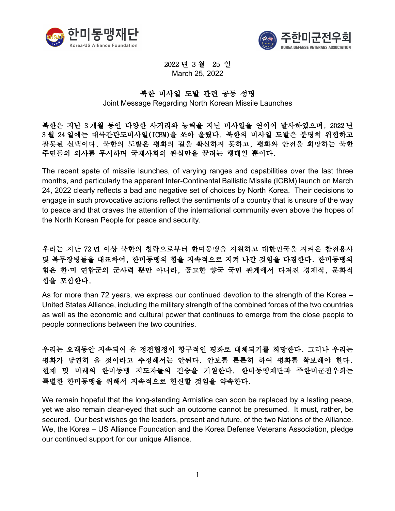



2022 년 3 월 25 일 March 25, 2022

## 북한 미사일 도발 관련 공동 성명

Joint Message Regarding North Korean Missile Launches

북한은 지난 3 개월 동안 다양한 사거리와 능력을 지닌 미사일을 연이어 발사하였으며, 2022 년 3 월 24 일에는 대륙간탄도미사일(ICBM)을 쏘아 올렸다. 북한의 미사일 도발은 분명히 위험하고 잘못된 선택이다. 북한의 도발은 평화의 길을 확신하지 못하고, 평화와 안전을 희망하는 북한 주민들의 의사를 무시하며 국제사회의 관심만을 끌려는 행태일 뿐이다.

The recent spate of missile launches, of varying ranges and capabilities over the last three months, and particularly the apparent Inter-Continental Ballistic Missile (ICBM) launch on March 24, 2022 clearly reflects a bad and negative set of choices by North Korea. Their decisions to engage in such provocative actions reflect the sentiments of a country that is unsure of the way to peace and that craves the attention of the international community even above the hopes of the North Korean People for peace and security.

우리는 지난 72 년 이상 북한의 침략으로부터 한미동맹을 지원하고 대한민국을 지켜온 참전용사 및 복무장병들을 대표하여, 한미동맹의 힘을 지속적으로 지켜 나갈 것임을 다짐한다. 한미동맹의 힘은 한·미 연합군의 군사력 뿐만 아니라, 공고한 양국 국민 관계에서 다져진 경제적, 문화적 힘을 포함한다.

As for more than 72 years, we express our continued devotion to the strength of the Korea – United States Alliance, including the military strength of the combined forces of the two countries as well as the economic and cultural power that continues to emerge from the close people to people connections between the two countries.

우리는 오래동안 지속되어 온 정전협정이 항구적인 평화로 대체되기를 희망한다. 그러나 우리는 평화가 당연히 올 것이라고 추정해서는 안된다. 안보를 튼튼히 하여 평화를 확보해야 한다. 현재 및 미래의 한미동맹 지도자들의 건승을 기원한다. 한미동맹재단과 주한미군전우회는 특별한 한미동맹을 위해서 지속적으로 헌신할 것임을 약속한다.

We remain hopeful that the long-standing Armistice can soon be replaced by a lasting peace, yet we also remain clear-eyed that such an outcome cannot be presumed. It must, rather, be secured. Our best wishes go the leaders, present and future, of the two Nations of the Alliance. We, the Korea – US Alliance Foundation and the Korea Defense Veterans Association, pledge our continued support for our unique Alliance.